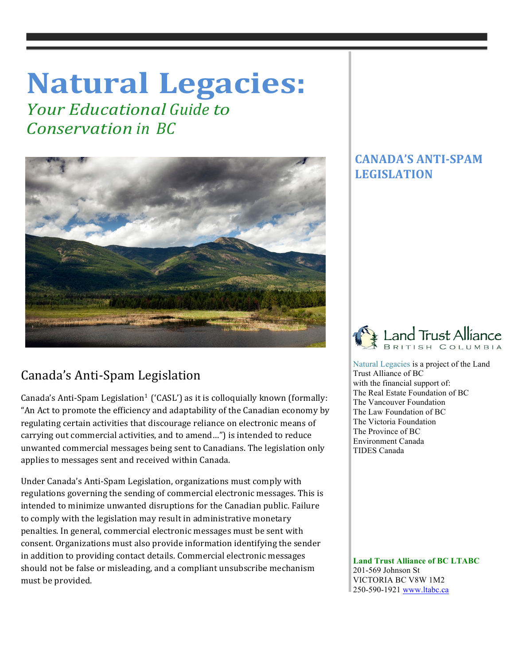# **Natural Legacies:**

*<u>Your Educational Guide to</u> Conservation in BC*



## Canada's Anti-Spam Legislation

Canada's Anti-Spam Legislation<sup>1</sup> ('CASL') as it is colloquially known (formally: "An Act to promote the efficiency and adaptability of the Canadian economy by regulating certain activities that discourage reliance on electronic means of carrying out commercial activities, and to amend...") is intended to reduce unwanted commercial messages being sent to Canadians. The legislation only applies to messages sent and received within Canada.

Under Canada's Anti-Spam Legislation, organizations must comply with regulations governing the sending of commercial electronic messages. This is intended to minimize unwanted disruptions for the Canadian public. Failure to comply with the legislation may result in administrative monetary penalties. In general, commercial electronic messages must be sent with consent. Organizations must also provide information identifying the sender in addition to providing contact details. Commercial electronic messages should not be false or misleading, and a compliant unsubscribe mechanism must be provided.

### **CANADA'S ANTI-SPAM LEGISLATION**



 Natural Legacies is a project of the Land Trust Alliance of BC with the financial support of: The Real Estate Foundation of BC The Vancouver Foundation The Law Foundation of BC The Victoria Foundation The Province of BC Environment Canada TIDES Canada

 **Land Trust Alliance of BC LTABC** 201-569 Johnson St VICTORIA BC V8W 1M2 250-590-1921 www.ltabc.ca